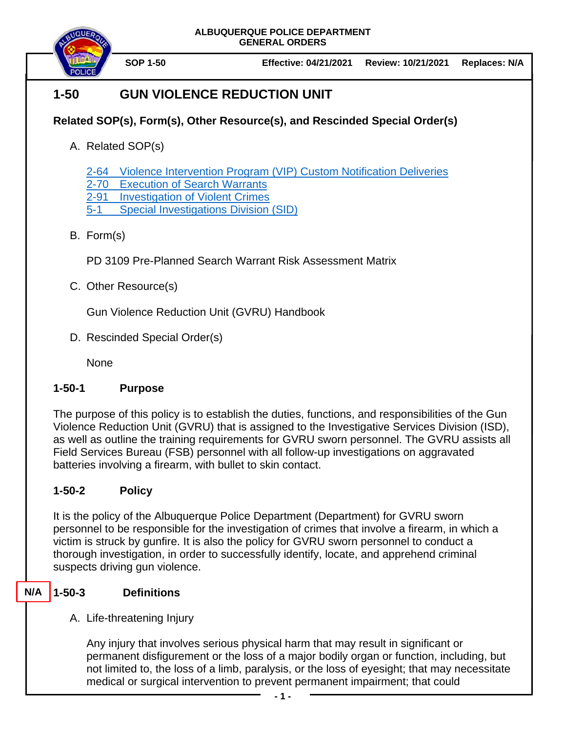**ALBUQUERQUE POLICE DEPARTMENT GENERAL ORDERS**



# **1-50 GUN VIOLENCE REDUCTION UNIT**

## **Related SOP(s), Form(s), Other Resource(s), and Rescinded Special Order(s)**

A. Related SOP(s)

2-64 [Violence Intervention Program \(VIP\) Custom Notification Deliveries](https://powerdms.com/docs/2235528/revisions/3166342)

2-70 [Execution of Search Warrants](https://powerdms.com/docs/99)

2-91 [Investigation of Violent Crimes](https://powerdms.com/docs/111)

5-1 [Special Investigations Division \(SID\)](https://powerdms.com/docs/4)

### B. Form(s)

PD 3109 Pre-Planned Search Warrant Risk Assessment Matrix

C. Other Resource(s)

Gun Violence Reduction Unit (GVRU) Handbook

D. Rescinded Special Order(s)

None

### **1-50-1 Purpose**

The purpose of this policy is to establish the duties, functions, and responsibilities of the Gun Violence Reduction Unit (GVRU) that is assigned to the Investigative Services Division (ISD), as well as outline the training requirements for GVRU sworn personnel. The GVRU assists all Field Services Bureau (FSB) personnel with all follow-up investigations on aggravated batteries involving a firearm, with bullet to skin contact.

## **1-50-2 Policy**

It is the policy of the Albuquerque Police Department (Department) for GVRU sworn personnel to be responsible for the investigation of crimes that involve a firearm, in which a victim is struck by gunfire. It is also the policy for GVRU sworn personnel to conduct a thorough investigation, in order to successfully identify, locate, and apprehend criminal suspects driving gun violence.

#### **1-50-3 Definitions N/A**

### A. Life-threatening Injury

Any injury that involves serious physical harm that may result in significant or permanent disfigurement or the loss of a major bodily organ or function, including, but not limited to, the loss of a limb, paralysis, or the loss of eyesight; that may necessitate medical or surgical intervention to prevent permanent impairment; that could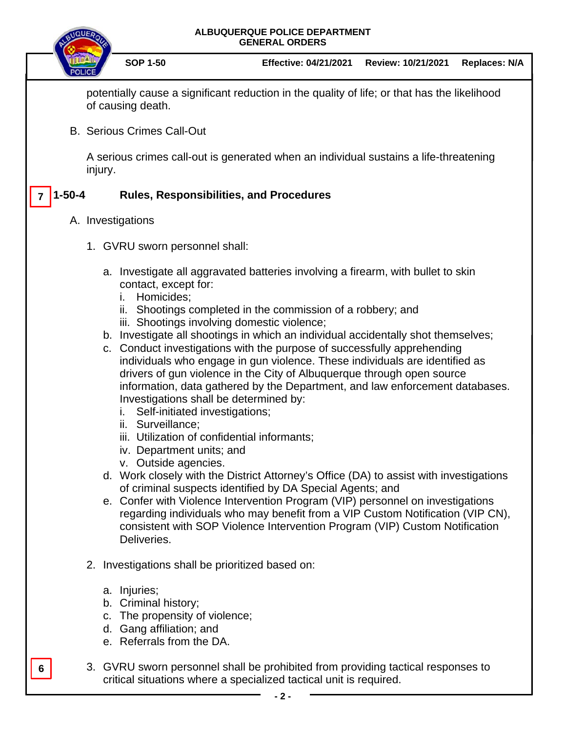#### **ALBUQUERQUE POLICE DEPARTMENT GENERAL ORDERS**



**SOP 1-50 Effective: 04/21/2021 Review: 10/21/2021 Replaces: N/A**

potentially cause a significant reduction in the quality of life; or that has the likelihood of causing death.

B. Serious Crimes Call-Out

A serious crimes call-out is generated when an individual sustains a life-threatening injury.

#### **1-50-4 Rules, Responsibilities, and Procedures 7**

#### A. Investigations

- 1. GVRU sworn personnel shall:
	- a. Investigate all aggravated batteries involving a firearm, with bullet to skin contact, except for:
		- i. Homicides;
		- ii. Shootings completed in the commission of a robbery; and
		- iii. Shootings involving domestic violence;
	- b. Investigate all shootings in which an individual accidentally shot themselves;
	- c. Conduct investigations with the purpose of successfully apprehending individuals who engage in gun violence. These individuals are identified as drivers of gun violence in the City of Albuquerque through open source information, data gathered by the Department, and law enforcement databases. Investigations shall be determined by:
		- i. Self-initiated investigations;
		- ii. Surveillance;
		- iii. Utilization of confidential informants;
		- iv. Department units; and
		- v. Outside agencies.
	- d. Work closely with the District Attorney's Office (DA) to assist with investigations of criminal suspects identified by DA Special Agents; and
	- e. Confer with Violence Intervention Program (VIP) personnel on investigations regarding individuals who may benefit from a VIP Custom Notification (VIP CN), consistent with SOP Violence Intervention Program (VIP) Custom Notification Deliveries.
- 2. Investigations shall be prioritized based on:
	- a. Injuries;

**6**

- b. Criminal history;
- c. The propensity of violence;
- d. Gang affiliation; and
- e. Referrals from the DA.
- 3. GVRU sworn personnel shall be prohibited from providing tactical responses to critical situations where a specialized tactical unit is required.